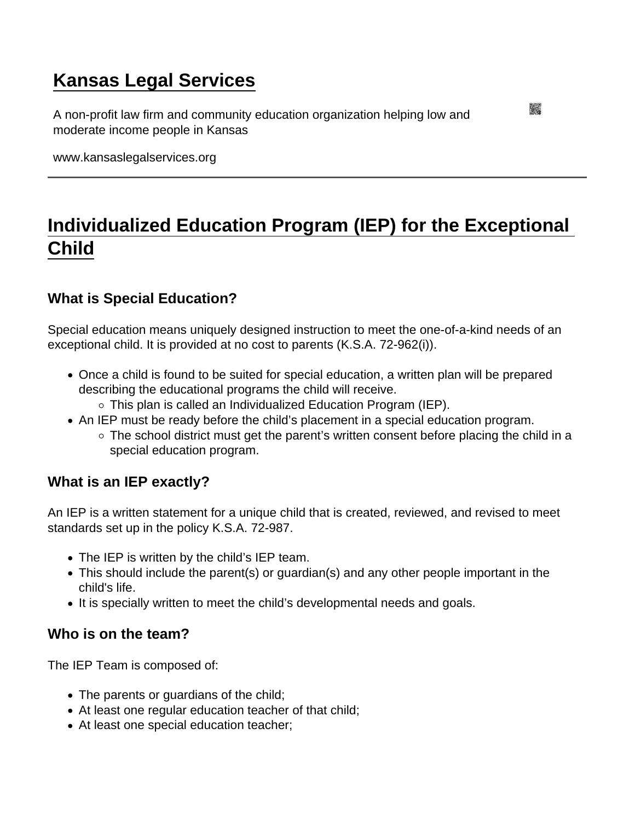# [Kansas Legal Services](https://www.kansaslegalservices.org/)

A non-profit law firm and community education organization helping low and moderate income people in Kansas

www.kansaslegalservices.org

# [Individualized Education Program \(IEP\) for the Exceptional](https://www.kansaslegalservices.org/node/1175/individualized-education-program-iep-exceptional-child)  [Child](https://www.kansaslegalservices.org/node/1175/individualized-education-program-iep-exceptional-child)

What is Special Education?

Special education means uniquely designed instruction to meet the one-of-a-kind needs of an exceptional child. It is provided at no cost to parents (K.S.A. 72-962(i)).

- Once a child is found to be suited for special education, a written plan will be prepared describing the educational programs the child will receive.
	- $\circ$  This plan is called an Individualized Education Program (IEP).
- An IEP must be ready before the child's placement in a special education program.
	- $\circ$  The school district must get the parent's written consent before placing the child in a special education program.

What is an IEP exactly?

An IEP is a written statement for a unique child that is created, reviewed, and revised to meet standards set up in the policy K.S.A. 72-987.

- The IEP is written by the child's IEP team.
- This should include the parent(s) or guardian(s) and any other people important in the child's life.
- It is specially written to meet the child's developmental needs and goals.

Who is on the team?

The IEP Team is composed of:

- The parents or guardians of the child;
- At least one regular education teacher of that child;
- At least one special education teacher;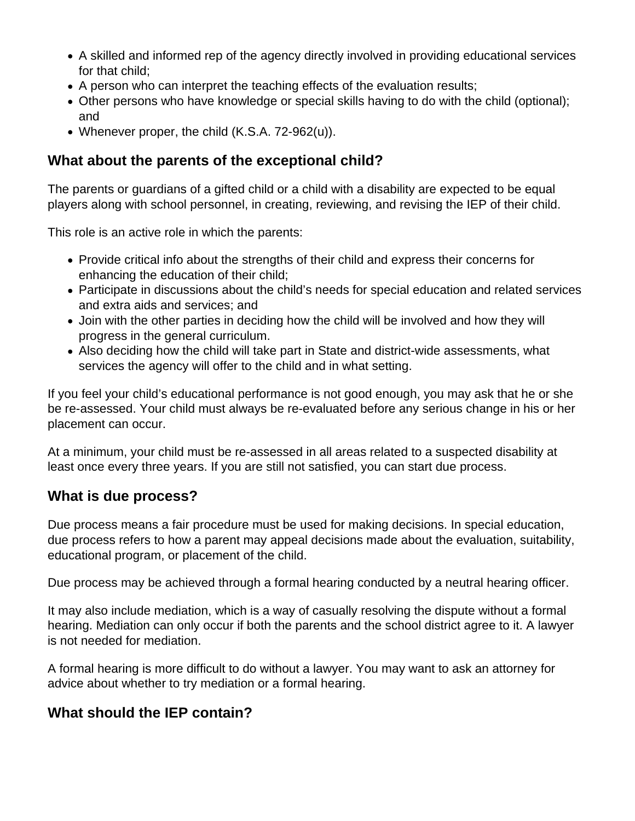- A skilled and informed rep of the agency directly involved in providing educational services for that child;
- A person who can interpret the teaching effects of the evaluation results;
- Other persons who have knowledge or special skills having to do with the child (optional); and
- Whenever proper, the child (K.S.A. 72-962(u)).

### **What about the parents of the exceptional child?**

The parents or guardians of a gifted child or a child with a disability are expected to be equal players along with school personnel, in creating, reviewing, and revising the IEP of their child.

This role is an active role in which the parents:

- Provide critical info about the strengths of their child and express their concerns for enhancing the education of their child;
- Participate in discussions about the child's needs for special education and related services and extra aids and services; and
- Join with the other parties in deciding how the child will be involved and how they will progress in the general curriculum.
- Also deciding how the child will take part in State and district-wide assessments, what services the agency will offer to the child and in what setting.

If you feel your child's educational performance is not good enough, you may ask that he or she be re-assessed. Your child must always be re-evaluated before any serious change in his or her placement can occur.

At a minimum, your child must be re-assessed in all areas related to a suspected disability at least once every three years. If you are still not satisfied, you can start due process.

#### **What is due process?**

Due process means a fair procedure must be used for making decisions. In special education, due process refers to how a parent may appeal decisions made about the evaluation, suitability, educational program, or placement of the child.

Due process may be achieved through a formal hearing conducted by a neutral hearing officer.

It may also include mediation, which is a way of casually resolving the dispute without a formal hearing. Mediation can only occur if both the parents and the school district agree to it. A lawyer is not needed for mediation.

A formal hearing is more difficult to do without a lawyer. You may want to ask an attorney for advice about whether to try mediation or a formal hearing.

## **What should the IEP contain?**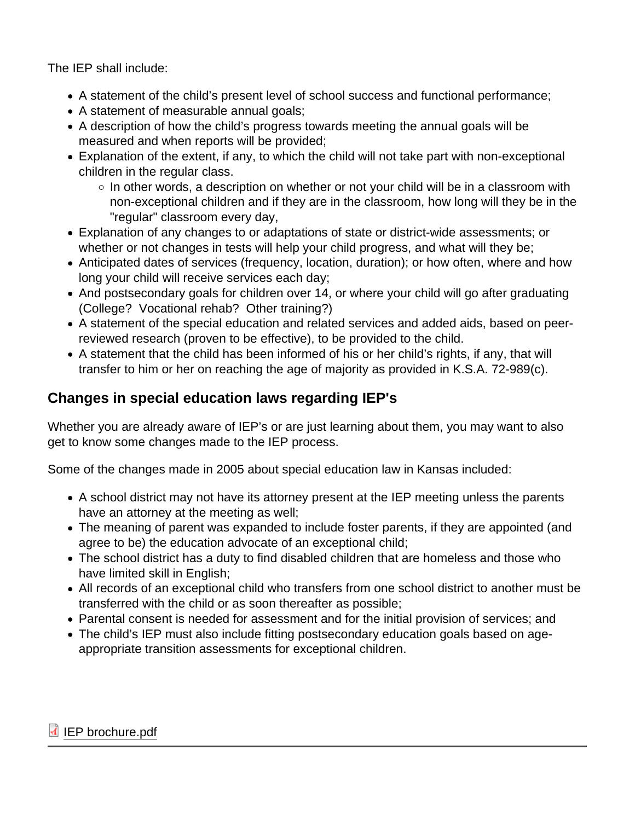The IEP shall include:

- A statement of the child's present level of school success and functional performance;
- A statement of measurable annual goals;
- A description of how the child's progress towards meeting the annual goals will be measured and when reports will be provided;
- Explanation of the extent, if any, to which the child will not take part with non-exceptional children in the regular class.
	- $\circ$  In other words, a description on whether or not your child will be in a classroom with non-exceptional children and if they are in the classroom, how long will they be in the "regular" classroom every day,
- Explanation of any changes to or adaptations of state or district-wide assessments; or whether or not changes in tests will help your child progress, and what will they be;
- Anticipated dates of services (frequency, location, duration); or how often, where and how long your child will receive services each day;
- And postsecondary goals for children over 14, or where your child will go after graduating (College? Vocational rehab? Other training?)
- A statement of the special education and related services and added aids, based on peerreviewed research (proven to be effective), to be provided to the child.
- A statement that the child has been informed of his or her child's rights, if any, that will transfer to him or her on reaching the age of majority as provided in K.S.A. 72-989(c).

### Changes in special education laws regarding IEP's

Whether you are already aware of IEP's or are just learning about them, you may want to also get to know some changes made to the IEP process.

Some of the changes made in 2005 about special education law in Kansas included:

- A school district may not have its attorney present at the IEP meeting unless the parents have an attorney at the meeting as well;
- The meaning of parent was expanded to include foster parents, if they are appointed (and agree to be) the education advocate of an exceptional child;
- The school district has a duty to find disabled children that are homeless and those who have limited skill in English;
- All records of an exceptional child who transfers from one school district to another must be transferred with the child or as soon thereafter as possible;
- Parental consent is needed for assessment and for the initial provision of services; and
- The child's IEP must also include fitting postsecondary education goals based on ageappropriate transition assessments for exceptional children.